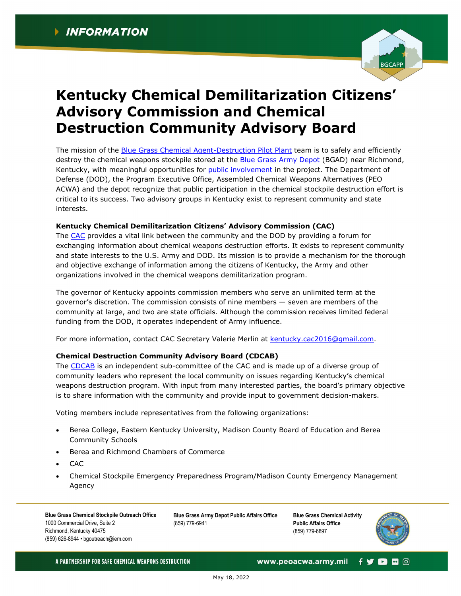

## **Kentucky Chemical Demilitarization Citizens' Advisory Commission and Chemical Destruction Community Advisory Board**

The mission of the [Blue Grass Chemical Agent-Destruction Pilot Plant](https://www.peoacwa.army.mil/bgcapp/) team is to safely and efficiently destroy the chemical weapons stockpile stored at the [Blue Grass Army Depot](https://www.bluegrass.army.mil/) (BGAD) near Richmond, Kentucky, with meaningful opportunities for [public involvement](https://www.peoacwa.army.mil/bgcapp/public-involvement-at-bgcapp/) in the project. The Department of Defense (DOD), the Program Executive Office, Assembled Chemical Weapons Alternatives (PEO ACWA) and the depot recognize that public participation in the chemical stockpile destruction effort is critical to its success. Two advisory groups in Kentucky exist to represent community and state interests.

## **Kentucky Chemical Demilitarization Citizens' Advisory Commission (CAC)**

The [CAC](https://www.peoacwa.army.mil/wp-content/uploads/CAC-Roster_20220518.pdf) provides a vital link between the community and the DOD by providing a forum for exchanging information about chemical weapons destruction efforts. It exists to represent community and state interests to the U.S. Army and DOD. Its mission is to provide a mechanism for the thorough and objective exchange of information among the citizens of Kentucky, the Army and other organizations involved in the chemical weapons demilitarization program.

The governor of Kentucky appoints commission members who serve an unlimited term at the governor's discretion. The commission consists of nine members — seven are members of the community at large, and two are state officials. Although the commission receives limited federal funding from the DOD, it operates independent of Army influence.

For more information, contact CAC Secretary Valerie Merlin at [kentucky.cac2016@gmail.com.](mailto:kentucky.cac2016@gmail.com)

## **Chemical Destruction Community Advisory Board (CDCAB)**

The [CDCAB](https://www.peoacwa.army.mil/wp-content/uploads/CDCAB-Roster_20220518.pdf) is an independent sub-committee of the CAC and is made up of a diverse group of community leaders who represent the local community on issues regarding Kentucky's chemical weapons destruction program. With input from many interested parties, the board's primary objective is to share information with the community and provide input to government decision-makers.

Voting members include representatives from the following organizations:

- Berea College, Eastern Kentucky University, Madison County Board of Education and Berea Community Schools
- Berea and Richmond Chambers of Commerce
- CAC
- Chemical Stockpile Emergency Preparedness Program/Madison County Emergency Management Agency

**Blue Grass Chemical Stockpile Outreach Office** 1000 Commercial Drive, Suite 2 Richmond, Kentucky 40475 (859) 626-8944 • bgoutreach@iem.com

**Blue Grass Army Depot Public Affairs Office** (859) 779-6941

**Blue Grass Chemical Activity Public Affairs Office** (859) 779-6897



A PARTNERSHIP FOR SAFE CHEMICAL WEAPONS DESTRUCTION

www.peoacwa.army.mil  $f$   $\triangleright$   $f$   $\triangleright$   $f$   $\triangleright$   $f$   $\triangleright$   $f$   $\triangleright$   $f$   $\triangleright$   $f$   $\triangleright$   $f$   $\triangleright$   $f$   $\triangleright$   $f$